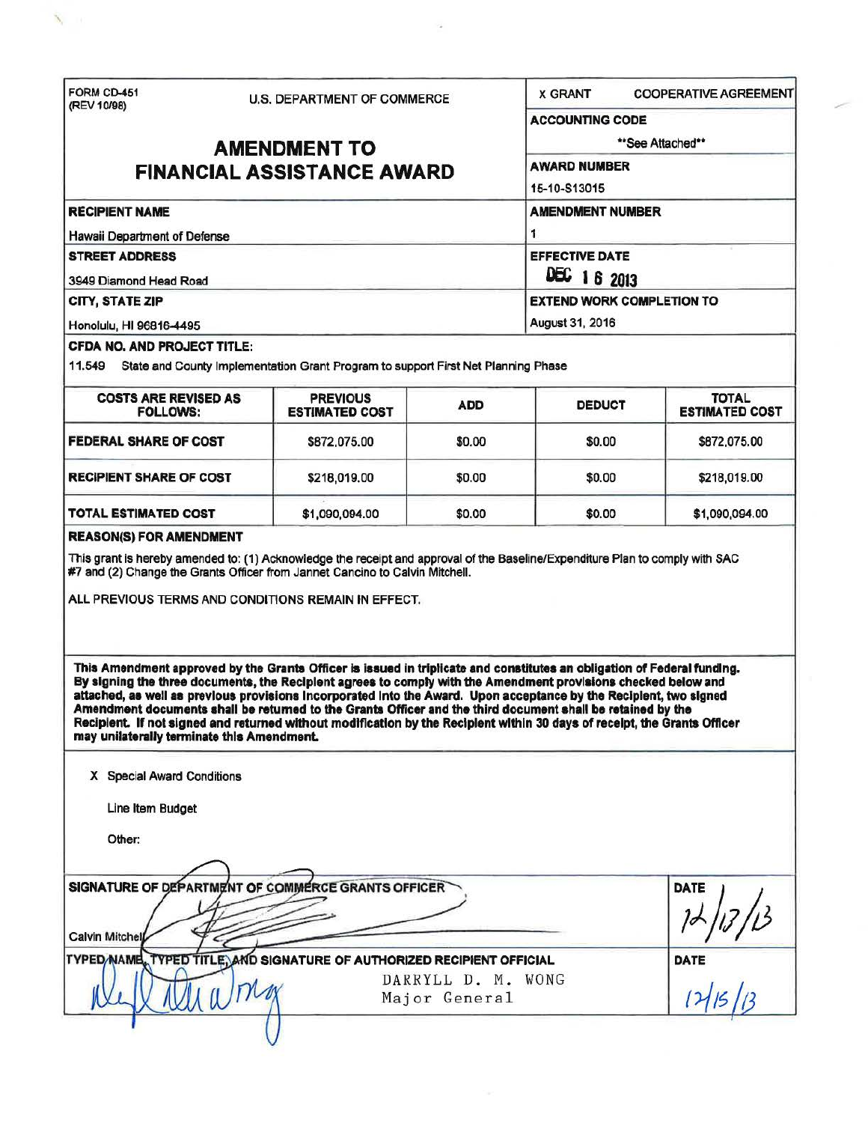FORM CD-451 U.S. DEPARTMENT OF COMMERCE X GRANT COOPERATIVE AGREEMENT (REV 10198) ACCOUNTlNG CODE AMENDMENT TO \*\*\*See Attached\*\*<br>LAL ASSISTANCE AMARD FINANCIAL ASSISTANCE AWARD 16-10·813015 RECIPIENT NAME AMENDMENT NUMBER Hawaii Department of Defense 1 1 STREET ADDRESS EFFECTIVE DATE 3949 Diamond Head Road **DEC** 1 6 2013 CITY, STATE ZIP EXTEND WORK COMPLETION TO Honolulu, HI 96816-4495 **August 31, 2016** August 31, 2016 CFDA NO. AND PROJECT TITLE: 11.549 State and County Implementation Grant Program to support First Net Planning Phase COSTS ARE REVISED AS PREVIOUS FOLLOWS: PREVIOUS FOLLOWS: PREVIOUS ADD DEDUCT FOTAL **ESTIMATED COST FEDERAL SHARE OF COST**   $$872,075.00$  | \$0.00 | \$0.00 | \$872,075.00 RECIPIENT SHARE OF COST | \$218,019.00 | \$0.00 | \$0.00 | \$218,019.00 TOTAL ESTIMATED COST \$1,090,094.00 \$0.00 \$0.00 \$1,090,094.00 REASON(S) FOR AMENDMENT This grant is hereby amended to: (1) Acknowledge the receipt and approval of the Baseline/Expenditure Plan to comply with SAC #7 and (2) Change the Grants Officer from Jannet Cancino to Calvin Mitchell. ALL PREVIOUS TERMS AND CONDITIONS REMAIN IN EFFECT. This Amendment approved by the Grants Officer is issued in triplicate and constitutes an obligation of Federal funding. By signing the three documents, the Redplent agrees to comply with the Amendment provlalons checked below and attached, aa well as previous provlelona Incorporated Into the Award. Upon acceptance by the Recipient, two signed Amendment documents shall be returned to the Grants Officer and the third document shall be retained by the Recipient. If not signed and returned without modification by the Recipient within 30 days of receipt, the Grants Officer may unilaterally terminate this Amendment. X Special Award Conditions **Line Item Budget** Other:  $\rightarrow$ SIGNATURE OF DEPARTMENT OF COMMERCE GRANTS OFFICER Line Item Budget<br>
Calvin Mitchel<br>
Calvin Mitchel<br>
TYPED NAME, TYPED TITLE, AND SIGNATURE OF AUTHORIZED RECIPIENT OFFICIAL DATE TYPED **NAME, TYPED TITLE, AND SIGNATURE OF AUTHORIZED RECIPIENT OFFICIAL** D. M. WONG DATE DATE DATE DATE DARRYLL D. M. WONG Major General (2)  $\cup$